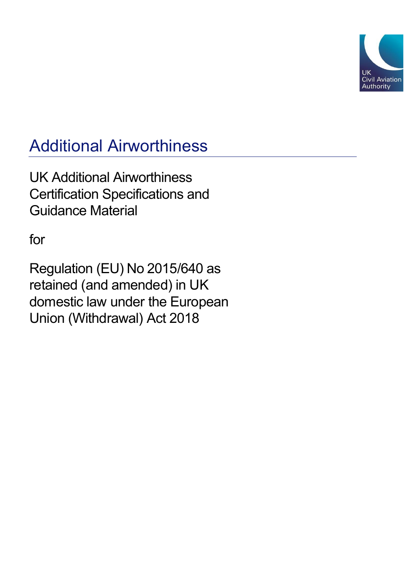

# Additional Airworthiness

UK Additional Airworthiness Certification Specifications and Guidance Material

for

Regulation (EU) No 2015/640 as retained (and amended) in UK domestic law under the European Union (Withdrawal) Act 2018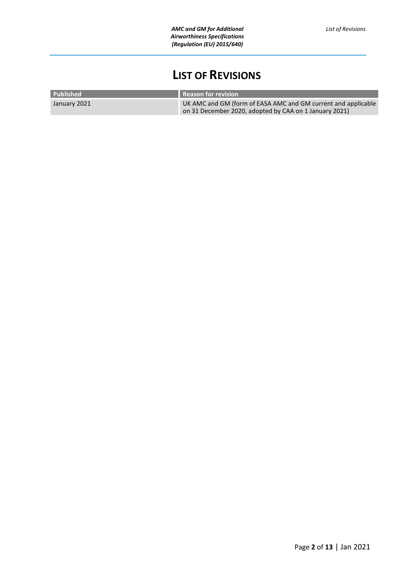# **LIST OF REVISIONS**

<span id="page-1-0"></span>

| Published    | <b>Reason for revision</b>                                    |
|--------------|---------------------------------------------------------------|
| January 2021 | UK AMC and GM (form of EASA AMC and GM current and applicable |
|              | on 31 December 2020, adopted by CAA on 1 January 2021)        |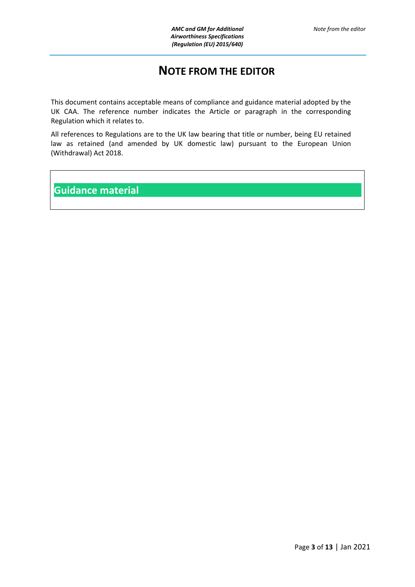## **NOTE FROM THE EDITOR**

<span id="page-2-0"></span>This document contains acceptable means of compliance and guidance material adopted by the UK CAA. The reference number indicates the Article or paragraph in the corresponding Regulation which it relates to.

All references to Regulations are to the UK law bearing that title or number, being EU retained law as retained (and amended by UK domestic law) pursuant to the European Union (Withdrawal) Act 2018.

**Guidance material**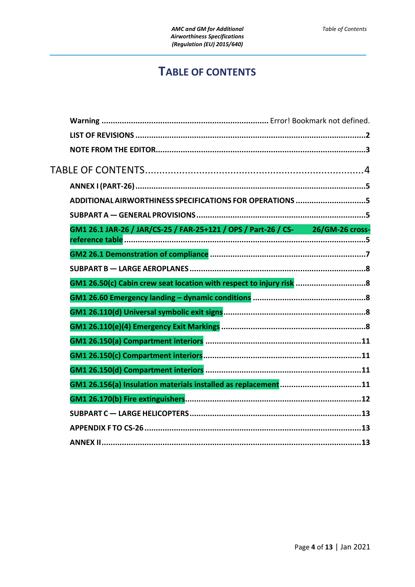# **TABLE OF CONTENTS**

<span id="page-3-0"></span>

| ADDITIONAL AIRWORTHINESS SPECIFICATIONS FOR OPERATIONS 5                       |
|--------------------------------------------------------------------------------|
|                                                                                |
| GM1 26.1 JAR-26 / JAR/CS-25 / FAR-25+121 / OPS / Part-26 / CS- 26/GM-26 cross- |
|                                                                                |
|                                                                                |
| GM1 26.50(c) Cabin crew seat location with respect to injury risk 8            |
|                                                                                |
|                                                                                |
|                                                                                |
|                                                                                |
|                                                                                |
|                                                                                |
|                                                                                |
|                                                                                |
|                                                                                |
|                                                                                |
|                                                                                |
|                                                                                |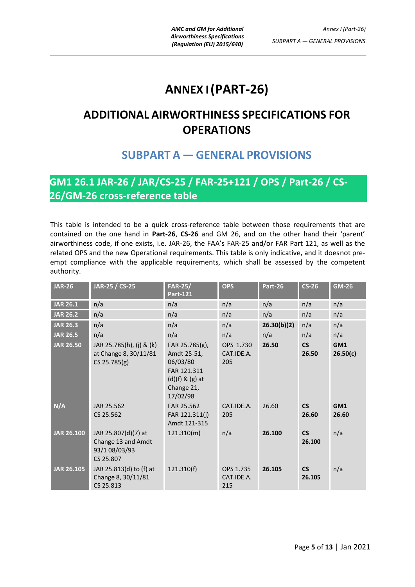# **ANNEX I(PART-26)**

# <span id="page-4-1"></span><span id="page-4-0"></span>**ADDITIONAL AIRWORTHINESS SPECIFICATIONS FOR OPERATIONS**

# **SUBPART A — GENERAL PROVISIONS**

# <span id="page-4-3"></span><span id="page-4-2"></span>**GM1 26.1 JAR-26 / JAR/CS-25 / FAR-25+121 / OPS / Part-26 / CS-26/GM-26 cross-reference table**

This table is intended to be a quick cross-reference table between those requirements that are contained on the one hand in **Part-26**, **CS-26** and GM 26, and on the other hand their 'parent' airworthiness code, if one exists, i.e. JAR-26, the FAA's FAR-25 and/or FAR Part 121, as well as the related OPS and the new Operational requirements. This table is only indicative, and it doesnot preempt compliance with the applicable requirements, which shall be assessed by the competent authority.

| <b>JAR-26</b>     | JAR-25 / CS-25                                                          | <b>FAR-25/</b><br><b>Part-121</b>                                                                         | <b>OPS</b>                     | Part-26     | $CS-26$                           | <b>GM-26</b>    |
|-------------------|-------------------------------------------------------------------------|-----------------------------------------------------------------------------------------------------------|--------------------------------|-------------|-----------------------------------|-----------------|
| <b>JAR 26.1</b>   | n/a                                                                     | n/a                                                                                                       | n/a                            | n/a         | n/a                               | n/a             |
| <b>JAR 26.2</b>   | n/a                                                                     | n/a                                                                                                       | n/a                            | n/a         | n/a                               | n/a             |
| <b>JAR 26.3</b>   | n/a                                                                     | n/a                                                                                                       | n/a                            | 26.30(b)(2) | n/a                               | n/a             |
| <b>JAR 26.5</b>   | n/a                                                                     | n/a                                                                                                       | n/a                            | n/a         | n/a                               | n/a             |
| <b>JAR 26.50</b>  | JAR 25.785(h), (j) & (k)<br>at Change 8, 30/11/81<br>$CS$ 25.785 $(g)$  | FAR 25.785(g),<br>Amdt 25-51,<br>06/03/80<br>FAR 121.311<br>$(d)(f)$ & $(g)$ at<br>Change 21,<br>17/02/98 | OPS 1.730<br>CAT.IDE.A.<br>205 | 26.50       | $\mathsf{CS}\phantom{0}$<br>26.50 | GM1<br>26.50(c) |
| N/A               | JAR 25.562<br>CS 25.562                                                 | FAR 25.562<br>FAR 121.311(j)<br>Amdt 121-315                                                              | CAT.IDE.A.<br>205              | 26.60       | <b>CS</b><br>26.60                | GM1<br>26.60    |
| <b>JAR 26.100</b> | JAR 25.807(d)(7) at<br>Change 13 and Amdt<br>93/1 08/03/93<br>CS 25.807 | 121.310(m)                                                                                                | n/a                            | 26.100      | <b>CS</b><br>26.100               | n/a             |
| <b>JAR 26.105</b> | JAR 25.813(d) to (f) at<br>Change 8, 30/11/81<br>CS 25.813              | 121.310(f)                                                                                                | OPS 1.735<br>CAT.IDE.A.<br>215 | 26.105      | <b>CS</b><br>26.105               | n/a             |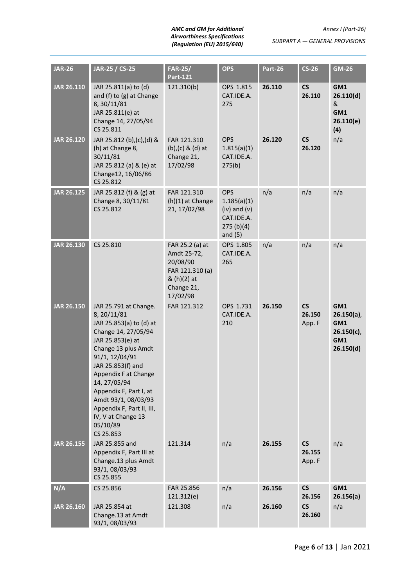#### *AMC and GM for Additional Airworthiness Specifications (Regulation (EU) 2015/640)*

*SUBPART A — GENERAL PROVISIONS*

| <b>JAR-26</b>     | JAR-25 / CS-25                                                                                                                                                                                                                                                                                                                                | <b>FAR-25/</b><br><b>Part-121</b>                                                                      | <b>OPS</b>                                                                            | Part-26 | $CS-26$                                      | GM-26                                                            |
|-------------------|-----------------------------------------------------------------------------------------------------------------------------------------------------------------------------------------------------------------------------------------------------------------------------------------------------------------------------------------------|--------------------------------------------------------------------------------------------------------|---------------------------------------------------------------------------------------|---------|----------------------------------------------|------------------------------------------------------------------|
| <b>JAR 26.110</b> | JAR 25.811(a) to (d)<br>and (f) to (g) at Change<br>8, 30/11/81<br>JAR 25.811(e) at<br>Change 14, 27/05/94<br>CS 25.811                                                                                                                                                                                                                       | 121.310(b)                                                                                             | OPS 1.815<br>CAT.IDE.A.<br>275                                                        | 26.110  | $\mathsf{CS}\phantom{0}$<br>26.110           | GM1<br>26.110(d)<br>&<br>GM1<br>26.110(e)<br>(4)                 |
| <b>JAR 26.120</b> | JAR 25.812 (b), (c), (d) &<br>(h) at Change 8,<br>30/11/81<br>JAR 25.812 (a) & (e) at<br>Change12, 16/06/86<br>CS 25.812                                                                                                                                                                                                                      | FAR 121.310<br>$(b)$ , $(c)$ & $(d)$ at<br>Change 21,<br>17/02/98                                      | <b>OPS</b><br>1.815(a)(1)<br>CAT.IDE.A.<br>275(b)                                     | 26.120  | <b>CS</b><br>26.120                          | n/a                                                              |
| <b>JAR 26.125</b> | JAR 25.812 (f) & (g) at<br>Change 8, 30/11/81<br>CS 25.812                                                                                                                                                                                                                                                                                    | FAR 121.310<br>(h)(1) at Change<br>21, 17/02/98                                                        | <b>OPS</b><br>1.185(a)(1)<br>$(iv)$ and $(v)$<br>CAT.IDE.A.<br>275(b)(4)<br>and $(5)$ | n/a     | n/a                                          | n/a                                                              |
| <b>JAR 26.130</b> | CS 25.810                                                                                                                                                                                                                                                                                                                                     | FAR 25.2 (a) at<br>Amdt 25-72,<br>20/08/90<br>FAR 121.310 (a)<br>& (h)(2) at<br>Change 21,<br>17/02/98 | OPS 1.805<br>CAT.IDE.A.<br>265                                                        | n/a     | n/a                                          | n/a                                                              |
| <b>JAR 26.150</b> | JAR 25.791 at Change.<br>8, 20/11/81<br>JAR 25.853(a) to (d) at<br>Change 14, 27/05/94<br>JAR 25.853(e) at<br>Change 13 plus Amdt<br>91/1, 12/04/91<br>JAR 25.853(f) and<br>Appendix F at Change<br>14, 27/05/94<br>Appendix F, Part I, at<br>Amdt 93/1, 08/03/93<br>Appendix F, Part II, III,<br>IV, V at Change 13<br>05/10/89<br>CS 25.853 | FAR 121.312                                                                                            | OPS 1.731<br>CAT.IDE.A.<br>210                                                        | 26.150  | <b>CS</b><br>26.150<br>App. F                | GM1<br>$26.150(a)$ ,<br>GM1<br>$26.150(c)$ ,<br>GM1<br>26.150(d) |
| <b>JAR 26.155</b> | JAR 25.855 and<br>Appendix F, Part III at<br>Change.13 plus Amdt<br>93/1, 08/03/93<br>CS 25.855                                                                                                                                                                                                                                               | 121.314                                                                                                | n/a                                                                                   | 26.155  | $\mathsf{CS}\phantom{0}$<br>26.155<br>App. F | n/a                                                              |
| N/A               | CS 25.856                                                                                                                                                                                                                                                                                                                                     | FAR 25.856<br>121.312(e)                                                                               | n/a                                                                                   | 26.156  | $\mathsf{CS}\phantom{0}$<br>26.156           | GM1<br>26.156(a)                                                 |
| <b>JAR 26.160</b> | JAR 25.854 at<br>Change.13 at Amdt<br>93/1, 08/03/93                                                                                                                                                                                                                                                                                          | 121.308                                                                                                | n/a                                                                                   | 26.160  | <b>CS</b><br>26.160                          | n/a                                                              |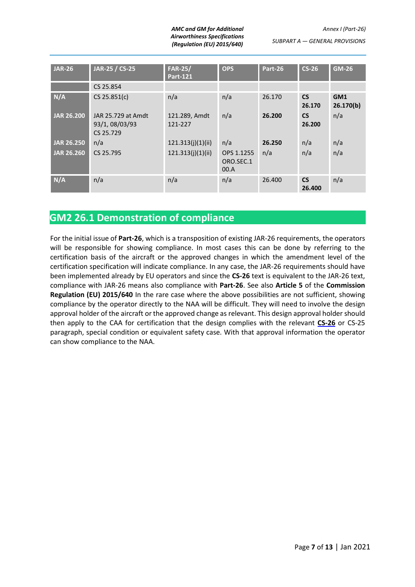*AMC and GM for Additional Airworthiness Specifications (Regulation (EU) 2015/640)*

| <b>JAR-26</b>     | JAR-25 / CS-25                                    | <b>FAR-25/</b><br><b>Part-121</b> | <b>OPS</b>                      | Part-26 | $CS-26$             | <b>GM-26</b>                 |
|-------------------|---------------------------------------------------|-----------------------------------|---------------------------------|---------|---------------------|------------------------------|
|                   | CS 25.854                                         |                                   |                                 |         |                     |                              |
| N/A               | $CS$ 25.851(c)                                    | n/a                               | n/a                             | 26.170  | <b>CS</b><br>26.170 | GM <sub>1</sub><br>26.170(b) |
| <b>JAR 26.200</b> | JAR 25.729 at Amdt<br>93/1, 08/03/93<br>CS 25.729 | 121.289, Amdt<br>121-227          | n/a                             | 26.200  | <b>CS</b><br>26.200 | n/a                          |
| <b>JAR 26.250</b> | n/a                                               | 121.313(j)(1)(ii)                 | n/a                             | 26.250  | n/a                 | n/a                          |
| <b>JAR 26.260</b> | CS 25.795                                         | 121.313(j)(1)(ii)                 | OPS 1.1255<br>ORO.SEC.1<br>00.A | n/a     | n/a                 | n/a                          |
| N/A               | n/a                                               | n/a                               | n/a                             | 26.400  | <b>CS</b><br>26.400 | n/a                          |

### <span id="page-6-0"></span>**GM2 26.1 Demonstration of compliance**

For the initial issue of **Part-26**, which is a transposition of existing JAR-26 requirements, the operators will be responsible for showing compliance. In most cases this can be done by referring to the certification basis of the aircraft or the approved changes in which the amendment level of the certification specification will indicate compliance. In any case, the JAR-26 requirements should have been implemented already by EU operators and since the **CS-26** text is equivalent to the JAR-26 text, compliance with JAR-26 means also compliance with **Part-26**. See also **Article 5** of the **Commission Regulation (EU) 2015/640** In the rare case where the above possibilities are not sufficient, showing compliance by the operator directly to the NAA will be difficult. They will need to involve the design approval holder of the aircraft or the approved change as relevant. This design approval holder should then apply to the CAA for certification that the design complies with the relevant **CS-26** or CS-25 paragraph, special condition or equivalent safety case. With that approval information the operator can show compliance to the NAA.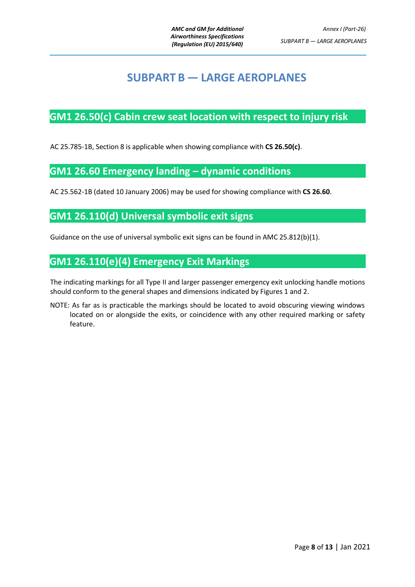# **SUBPART B — LARGE AEROPLANES**

### <span id="page-7-1"></span><span id="page-7-0"></span>**GM1 26.50(c) Cabin crew seat location with respect to injury risk**

AC 25.785-1B, Section 8 is applicable when showing compliance with **CS 26.50(c)**.

### <span id="page-7-2"></span>**GM1 26.60 Emergency landing – dynamic conditions**

AC 25.562-1B (dated 10 January 2006) may be used for showing compliance with **CS 26.60**.

### <span id="page-7-3"></span>**GM1 26.110(d) Universal symbolic exit signs**

Guidance on the use of universal symbolic exit signs can be found in AMC 25.812(b)(1).

### <span id="page-7-4"></span>**GM1 26.110(e)(4) Emergency Exit Markings**

The indicating markings for all Type II and larger passenger emergency exit unlocking handle motions should conform to the general shapes and dimensions indicated by Figures 1 and 2.

NOTE: As far as is practicable the markings should be located to avoid obscuring viewing windows located on or alongside the exits, or coincidence with any other required marking or safety feature.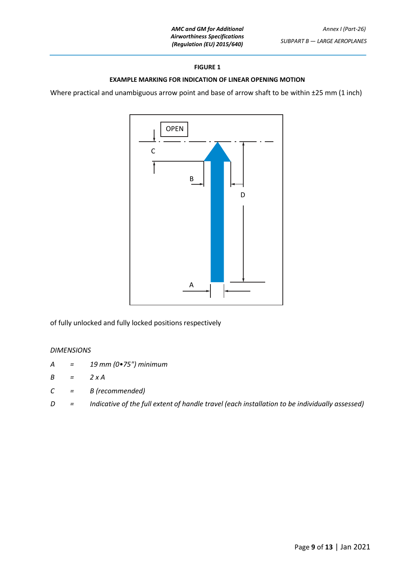#### **FIGURE 1**

#### **EXAMPLE MARKING FOR INDICATION OF LINEAR OPENING MOTION**

Where practical and unambiguous arrow point and base of arrow shaft to be within ±25 mm (1 inch)



of fully unlocked and fully locked positions respectively

#### *DIMENSIONS*

- *A = 19 mm (0•75") minimum*
- *B = 2 x A*
- *C = B (recommended)*
- *D = Indicative of the full extent of handle travel (each installation to be individually assessed)*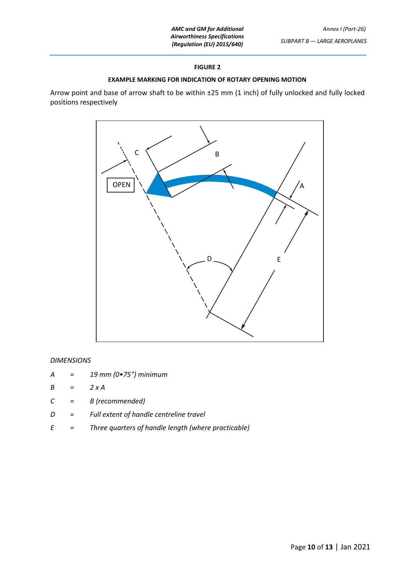#### **FIGURE 2**

#### **EXAMPLE MARKING FOR INDICATION OF ROTARY OPENING MOTION**

Arrow point and base of arrow shaft to be within ±25 mm (1 inch) of fully unlocked and fully locked positions respectively



#### *DIMENSIONS*

- *A = 19 mm (0•75") minimum*
- *B = 2 x A*
- *C = B (recommended)*
- *D = Full extent of handle centreline travel*
- *E = Three quarters of handle length (where practicable)*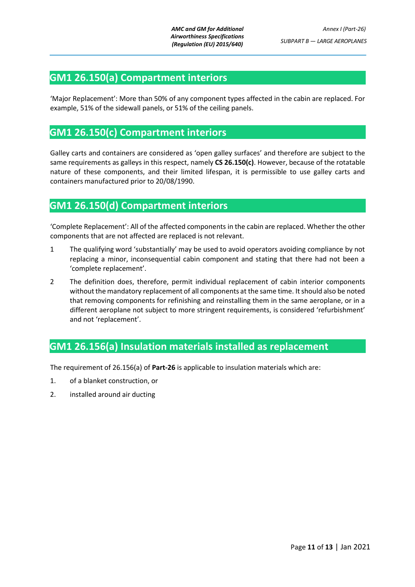### <span id="page-10-0"></span>**GM1 26.150(a) Compartment interiors**

'Major Replacement': More than 50% of any component types affected in the cabin are replaced. For example, 51% of the sidewall panels, or 51% of the ceiling panels.

### <span id="page-10-1"></span>**GM1 26.150(c) Compartment interiors**

Galley carts and containers are considered as 'open galley surfaces' and therefore are subject to the same requirements as galleys in this respect, namely **CS 26.150(c)**. However, because of the rotatable nature of these components, and their limited lifespan, it is permissible to use galley carts and containers manufactured prior to 20/08/1990.

### <span id="page-10-2"></span>**GM1 26.150(d) Compartment interiors**

'Complete Replacement': All of the affected components in the cabin are replaced. Whether the other components that are not affected are replaced is not relevant.

- 1 The qualifying word 'substantially' may be used to avoid operators avoiding compliance by not replacing a minor, inconsequential cabin component and stating that there had not been a 'complete replacement'.
- 2 The definition does, therefore, permit individual replacement of cabin interior components without the mandatory replacement of all components at the same time. It should also be noted that removing components for refinishing and reinstalling them in the same aeroplane, or in a different aeroplane not subject to more stringent requirements, is considered 'refurbishment' and not 'replacement'.

### <span id="page-10-3"></span>**GM1 26.156(a) Insulation materials installed as replacement**

The requirement of 26.156(a) of **Part-26** is applicable to insulation materials which are:

- 1. of a blanket construction, or
- 2. installed around air ducting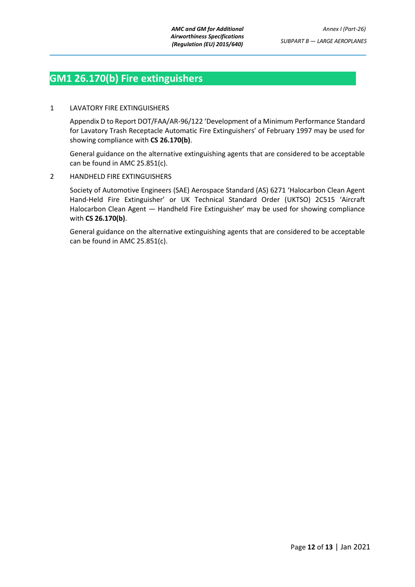### <span id="page-11-0"></span>**GM1 26.170(b) Fire extinguishers**

#### 1 LAVATORY FIRE EXTINGUISHERS

Appendix D to Report DOT/FAA/AR-96/122 'Development of a Minimum Performance Standard for Lavatory Trash Receptacle Automatic Fire Extinguishers' of February 1997 may be used for showing compliance with **CS 26.170(b)**.

General guidance on the alternative extinguishing agents that are considered to be acceptable can be found in AMC 25.851(c).

#### 2 HANDHELD FIRE EXTINGUISHERS

Society of Automotive Engineers (SAE) Aerospace Standard (AS) 6271 'Halocarbon Clean Agent Hand-Held Fire Extinguisher' or UK Technical Standard Order (UKTSO) 2C515 'Aircraft Halocarbon Clean Agent — Handheld Fire Extinguisher' may be used for showing compliance with **CS 26.170(b)**.

General guidance on the alternative extinguishing agents that are considered to be acceptable can be found in AMC 25.851(c).